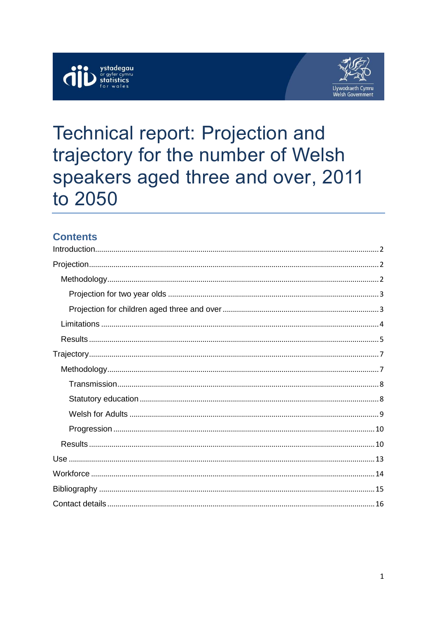



# **Technical report: Projection and** trajectory for the number of Welsh speakers aged three and over, 2011 to 2050

# **Contents**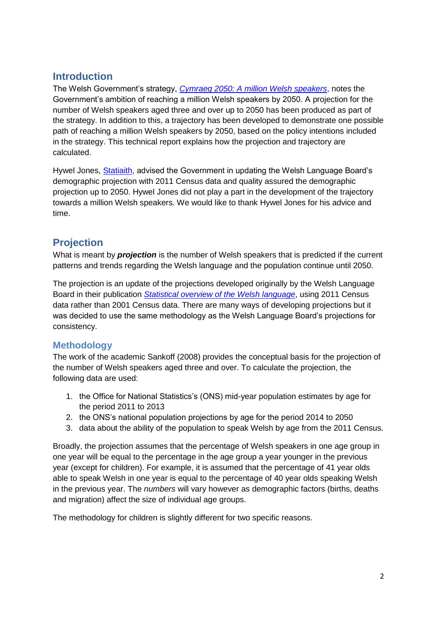## <span id="page-1-0"></span>**Introduction**

The Welsh Government's strategy, *[Cymraeg 2050: A million Welsh speakers](http://llyw.cymru/topics/welshlanguage/welsh-language-strategy-and-policies/cymraeg-2050-welsh-language-strategy/?lang=en)*, notes the Government's ambition of reaching a million Welsh speakers by 2050. A projection for the number of Welsh speakers aged three and over up to 2050 has been produced as part of the strategy. In addition to this, a trajectory has been developed to demonstrate one possible path of reaching a million Welsh speakers by 2050, based on the policy intentions included in the strategy. This technical report explains how the projection and trajectory are calculated.

Hywel Jones, [Statiaith,](http://statiaith.com/) advised the Government in updating the Welsh Language Board's demographic projection with 2011 Census data and quality assured the demographic projection up to 2050. Hywel Jones did not play a part in the development of the trajectory towards a million Welsh speakers. We would like to thank Hywel Jones for his advice and time.

# <span id="page-1-1"></span>**Projection**

What is meant by *projection* is the number of Welsh speakers that is predicted if the current patterns and trends regarding the Welsh language and the population continue until 2050.

The projection is an update of the projections developed originally by the Welsh Language Board in their publication *[Statistical overview of the Welsh language](http://www.comisiynyddygymraeg.cymru/English/Publications%20List/A%20statistical%20overview%20of%20the%20Welsh%20language.pdf)*, using 2011 Census data rather than 2001 Census data. There are many ways of developing projections but it was decided to use the same methodology as the Welsh Language Board's projections for consistency.

## <span id="page-1-2"></span>**Methodology**

The work of the academic Sankoff (2008) provides the conceptual basis for the projection of the number of Welsh speakers aged three and over. To calculate the projection, the following data are used:

- 1. the Office for National Statistics's (ONS) mid-year population estimates by age for the period 2011 to 2013
- 2. the ONS's national population projections by age for the period 2014 to 2050
- 3. data about the ability of the population to speak Welsh by age from the 2011 Census.

Broadly, the projection assumes that the percentage of Welsh speakers in one age group in one year will be equal to the percentage in the age group a year younger in the previous year (except for children). For example, it is assumed that the percentage of 41 year olds able to speak Welsh in one year is equal to the percentage of 40 year olds speaking Welsh in the previous year. The *numbers* will vary however as demographic factors (births, deaths and migration) affect the size of individual age groups.

The methodology for children is slightly different for two specific reasons.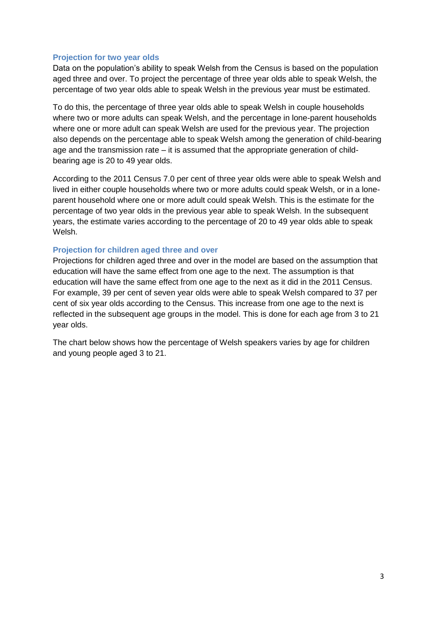#### <span id="page-2-0"></span>**Projection for two year olds**

Data on the population's ability to speak Welsh from the Census is based on the population aged three and over. To project the percentage of three year olds able to speak Welsh, the percentage of two year olds able to speak Welsh in the previous year must be estimated.

To do this, the percentage of three year olds able to speak Welsh in couple households where two or more adults can speak Welsh, and the percentage in lone-parent households where one or more adult can speak Welsh are used for the previous year. The projection also depends on the percentage able to speak Welsh among the generation of child-bearing age and the transmission rate  $-$  it is assumed that the appropriate generation of childbearing age is 20 to 49 year olds.

According to the 2011 Census 7.0 per cent of three year olds were able to speak Welsh and lived in either couple households where two or more adults could speak Welsh, or in a loneparent household where one or more adult could speak Welsh. This is the estimate for the percentage of two year olds in the previous year able to speak Welsh. In the subsequent years, the estimate varies according to the percentage of 20 to 49 year olds able to speak Welsh.

#### <span id="page-2-1"></span>**Projection for children aged three and over**

Projections for children aged three and over in the model are based on the assumption that education will have the same effect from one age to the next. The assumption is that education will have the same effect from one age to the next as it did in the 2011 Census. For example, 39 per cent of seven year olds were able to speak Welsh compared to 37 per cent of six year olds according to the Census. This increase from one age to the next is reflected in the subsequent age groups in the model. This is done for each age from 3 to 21 year olds.

The chart below shows how the percentage of Welsh speakers varies by age for children and young people aged 3 to 21.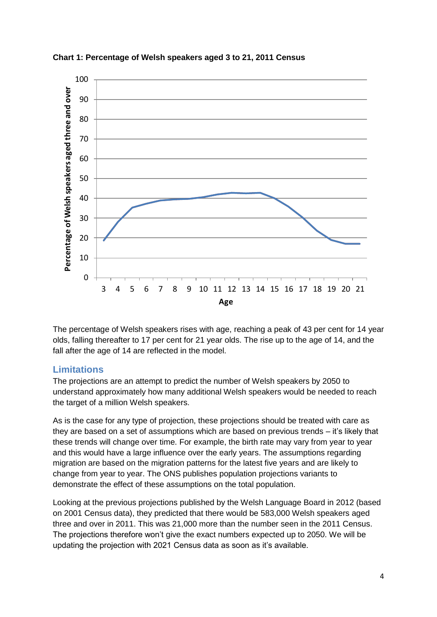

**Chart 1: Percentage of Welsh speakers aged 3 to 21, 2011 Census**

The percentage of Welsh speakers rises with age, reaching a peak of 43 per cent for 14 year olds, falling thereafter to 17 per cent for 21 year olds. The rise up to the age of 14, and the fall after the age of 14 are reflected in the model.

### <span id="page-3-0"></span>**Limitations**

The projections are an attempt to predict the number of Welsh speakers by 2050 to understand approximately how many additional Welsh speakers would be needed to reach the target of a million Welsh speakers.

As is the case for any type of projection, these projections should be treated with care as they are based on a set of assumptions which are based on previous trends – it's likely that these trends will change over time. For example, the birth rate may vary from year to year and this would have a large influence over the early years. The assumptions regarding migration are based on the migration patterns for the latest five years and are likely to change from year to year. The ONS publishes population projections variants to demonstrate the effect of these assumptions on the total population.

Looking at the previous projections published by the Welsh Language Board in 2012 (based on 2001 Census data), they predicted that there would be 583,000 Welsh speakers aged three and over in 2011. This was 21,000 more than the number seen in the 2011 Census. The projections therefore won't give the exact numbers expected up to 2050. We will be updating the projection with 2021 Census data as soon as it's available.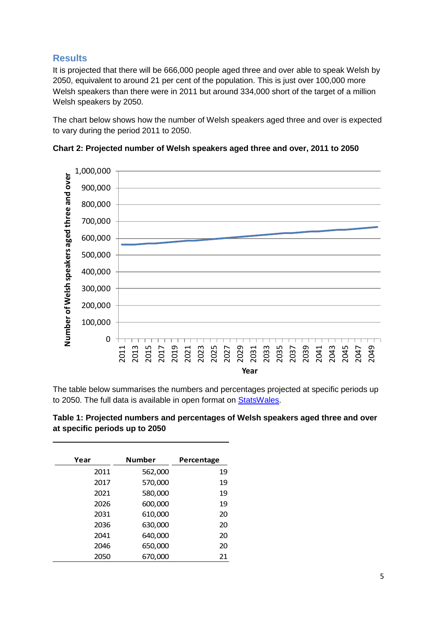## <span id="page-4-0"></span>**Results**

It is projected that there will be 666,000 people aged three and over able to speak Welsh by 2050, equivalent to around 21 per cent of the population. This is just over 100,000 more Welsh speakers than there were in 2011 but around 334,000 short of the target of a million Welsh speakers by 2050.

The chart below shows how the number of Welsh speakers aged three and over is expected to vary during the period 2011 to 2050.



**Chart 2: Projected number of Welsh speakers aged three and over, 2011 to 2050**

The table below summarises the numbers and percentages projected at specific periods up to 2050. The full data is available in open format on [StatsWales.](https://statswales.gov.wales/Catalogue/Welsh-Language)

| Table 1: Projected numbers and percentages of Welsh speakers aged three and over |
|----------------------------------------------------------------------------------|
| at specific periods up to 2050                                                   |

| Year | <b>Number</b> | Percentage |
|------|---------------|------------|
| 2011 | 562,000       | 19         |
| 2017 | 570,000       | 19         |
| 2021 | 580,000       | 19         |
| 2026 | 600,000       | 19         |
| 2031 | 610,000       | 20         |
| 2036 | 630,000       | 20         |
| 2041 | 640,000       | 20         |
| 2046 | 650,000       | 20         |
| 2050 | 670,000       | 21         |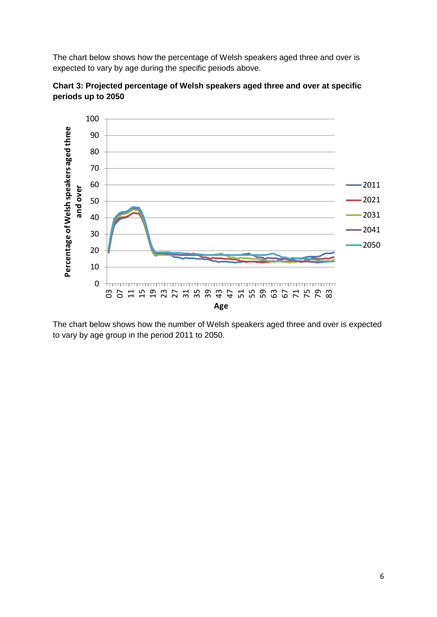The chart below shows how the percentage of Welsh speakers aged three and over is expected to vary by age during the specific periods above.



**Chart 3: Projected percentage of Welsh speakers aged three and over at specific periods up to 2050**

The chart below shows how the number of Welsh speakers aged three and over is expected to vary by age group in the period 2011 to 2050.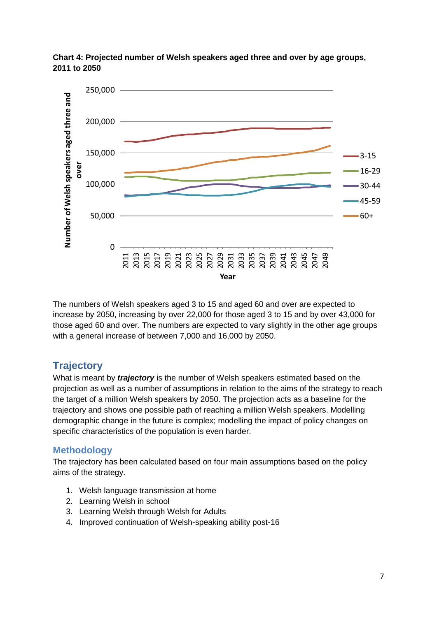

**Chart 4: Projected number of Welsh speakers aged three and over by age groups, 2011 to 2050**

The numbers of Welsh speakers aged 3 to 15 and aged 60 and over are expected to increase by 2050, increasing by over 22,000 for those aged 3 to 15 and by over 43,000 for those aged 60 and over. The numbers are expected to vary slightly in the other age groups with a general increase of between 7,000 and 16,000 by 2050.

# <span id="page-6-0"></span>**Trajectory**

What is meant by *trajectory* is the number of Welsh speakers estimated based on the projection as well as a number of assumptions in relation to the aims of the strategy to reach the target of a million Welsh speakers by 2050. The projection acts as a baseline for the trajectory and shows one possible path of reaching a million Welsh speakers. Modelling demographic change in the future is complex; modelling the impact of policy changes on specific characteristics of the population is even harder.

## <span id="page-6-1"></span>**Methodology**

The trajectory has been calculated based on four main assumptions based on the policy aims of the strategy.

- 1. Welsh language transmission at home
- 2. Learning Welsh in school
- 3. Learning Welsh through Welsh for Adults
- 4. Improved continuation of Welsh-speaking ability post-16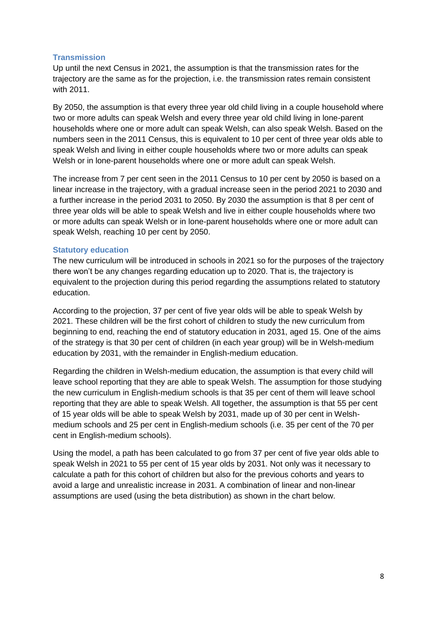#### <span id="page-7-0"></span>**Transmission**

Up until the next Census in 2021, the assumption is that the transmission rates for the trajectory are the same as for the projection, i.e. the transmission rates remain consistent with 2011.

By 2050, the assumption is that every three year old child living in a couple household where two or more adults can speak Welsh and every three year old child living in lone-parent households where one or more adult can speak Welsh, can also speak Welsh. Based on the numbers seen in the 2011 Census, this is equivalent to 10 per cent of three year olds able to speak Welsh and living in either couple households where two or more adults can speak Welsh or in lone-parent households where one or more adult can speak Welsh.

The increase from 7 per cent seen in the 2011 Census to 10 per cent by 2050 is based on a linear increase in the trajectory, with a gradual increase seen in the period 2021 to 2030 and a further increase in the period 2031 to 2050. By 2030 the assumption is that 8 per cent of three year olds will be able to speak Welsh and live in either couple households where two or more adults can speak Welsh or in lone-parent households where one or more adult can speak Welsh, reaching 10 per cent by 2050.

#### <span id="page-7-1"></span>**Statutory education**

The new curriculum will be introduced in schools in 2021 so for the purposes of the trajectory there won't be any changes regarding education up to 2020. That is, the trajectory is equivalent to the projection during this period regarding the assumptions related to statutory education.

According to the projection, 37 per cent of five year olds will be able to speak Welsh by 2021. These children will be the first cohort of children to study the new curriculum from beginning to end, reaching the end of statutory education in 2031, aged 15. One of the aims of the strategy is that 30 per cent of children (in each year group) will be in Welsh-medium education by 2031, with the remainder in English-medium education.

Regarding the children in Welsh-medium education, the assumption is that every child will leave school reporting that they are able to speak Welsh. The assumption for those studying the new curriculum in English-medium schools is that 35 per cent of them will leave school reporting that they are able to speak Welsh. All together, the assumption is that 55 per cent of 15 year olds will be able to speak Welsh by 2031, made up of 30 per cent in Welshmedium schools and 25 per cent in English-medium schools (i.e. 35 per cent of the 70 per cent in English-medium schools).

Using the model, a path has been calculated to go from 37 per cent of five year olds able to speak Welsh in 2021 to 55 per cent of 15 year olds by 2031. Not only was it necessary to calculate a path for this cohort of children but also for the previous cohorts and years to avoid a large and unrealistic increase in 2031. A combination of linear and non-linear assumptions are used (using the beta distribution) as shown in the chart below.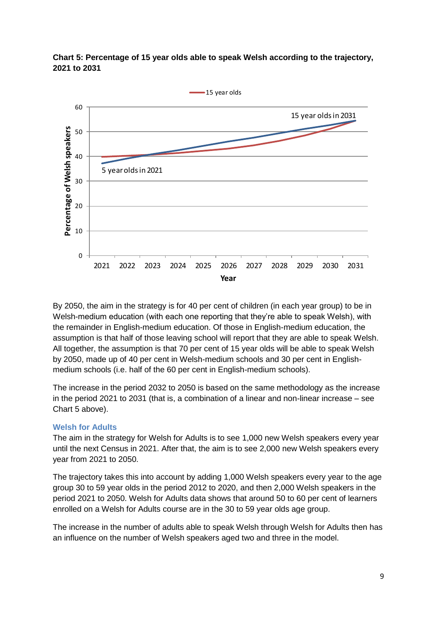

**Chart 5: Percentage of 15 year olds able to speak Welsh according to the trajectory, 2021 to 2031**

By 2050, the aim in the strategy is for 40 per cent of children (in each year group) to be in Welsh-medium education (with each one reporting that they're able to speak Welsh), with the remainder in English-medium education. Of those in English-medium education, the assumption is that half of those leaving school will report that they are able to speak Welsh. All together, the assumption is that 70 per cent of 15 year olds will be able to speak Welsh by 2050, made up of 40 per cent in Welsh-medium schools and 30 per cent in Englishmedium schools (i.e. half of the 60 per cent in English-medium schools).

The increase in the period 2032 to 2050 is based on the same methodology as the increase in the period 2021 to 2031 (that is, a combination of a linear and non-linear increase – see Chart 5 above).

#### <span id="page-8-0"></span>**Welsh for Adults**

The aim in the strategy for Welsh for Adults is to see 1,000 new Welsh speakers every year until the next Census in 2021. After that, the aim is to see 2,000 new Welsh speakers every year from 2021 to 2050.

The trajectory takes this into account by adding 1,000 Welsh speakers every year to the age group 30 to 59 year olds in the period 2012 to 2020, and then 2,000 Welsh speakers in the period 2021 to 2050. Welsh for Adults data shows that around 50 to 60 per cent of learners enrolled on a Welsh for Adults course are in the 30 to 59 year olds age group.

The increase in the number of adults able to speak Welsh through Welsh for Adults then has an influence on the number of Welsh speakers aged two and three in the model.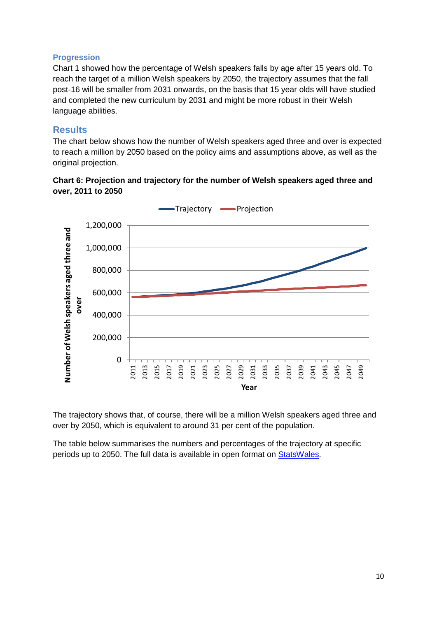#### <span id="page-9-0"></span>**Progression**

Chart 1 showed how the percentage of Welsh speakers falls by age after 15 years old. To reach the target of a million Welsh speakers by 2050, the trajectory assumes that the fall post-16 will be smaller from 2031 onwards, on the basis that 15 year olds will have studied and completed the new curriculum by 2031 and might be more robust in their Welsh language abilities.

#### <span id="page-9-1"></span>**Results**

The chart below shows how the number of Welsh speakers aged three and over is expected to reach a million by 2050 based on the policy aims and assumptions above, as well as the original projection.





The trajectory shows that, of course, there will be a million Welsh speakers aged three and over by 2050, which is equivalent to around 31 per cent of the population.

The table below summarises the numbers and percentages of the trajectory at specific periods up to 2050. The full data is available in open format on [StatsWales.](https://statswales.gov.wales/Catalogue/Welsh-Language)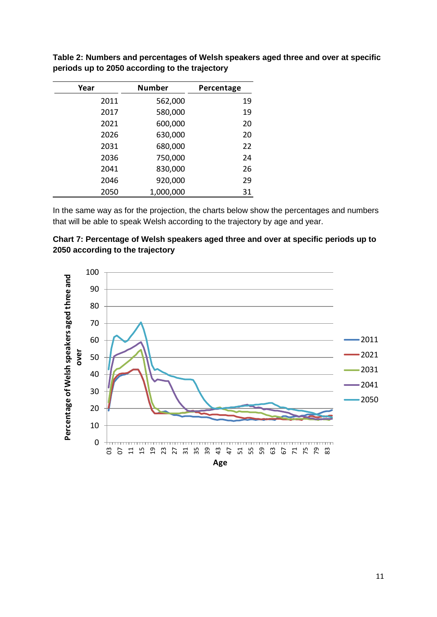| Year | <b>Number</b> | Percentage |
|------|---------------|------------|
| 2011 | 562,000       | 19         |
| 2017 | 580,000       | 19         |
| 2021 | 600,000       | 20         |
| 2026 | 630,000       | 20         |
| 2031 | 680,000       | 22         |
| 2036 | 750,000       | 24         |
| 2041 | 830,000       | 26         |
| 2046 | 920,000       | 29         |
| 2050 | 1,000,000     | 31         |

**Table 2: Numbers and percentages of Welsh speakers aged three and over at specific periods up to 2050 according to the trajectory** 

In the same way as for the projection, the charts below show the percentages and numbers that will be able to speak Welsh according to the trajectory by age and year.



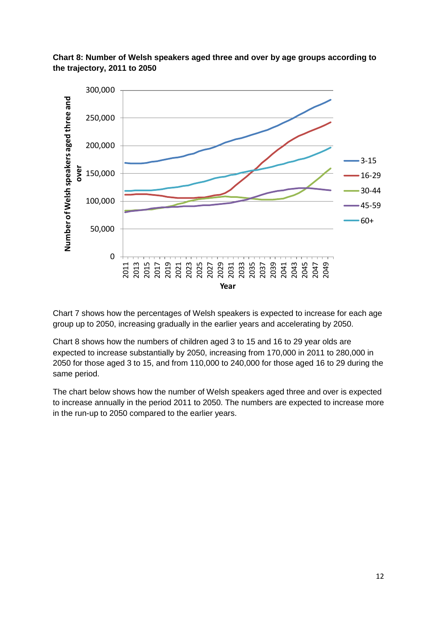

**Chart 8: Number of Welsh speakers aged three and over by age groups according to the trajectory, 2011 to 2050**

Chart 7 shows how the percentages of Welsh speakers is expected to increase for each age group up to 2050, increasing gradually in the earlier years and accelerating by 2050.

Chart 8 shows how the numbers of children aged 3 to 15 and 16 to 29 year olds are expected to increase substantially by 2050, increasing from 170,000 in 2011 to 280,000 in 2050 for those aged 3 to 15, and from 110,000 to 240,000 for those aged 16 to 29 during the same period.

The chart below shows how the number of Welsh speakers aged three and over is expected to increase annually in the period 2011 to 2050. The numbers are expected to increase more in the run-up to 2050 compared to the earlier years.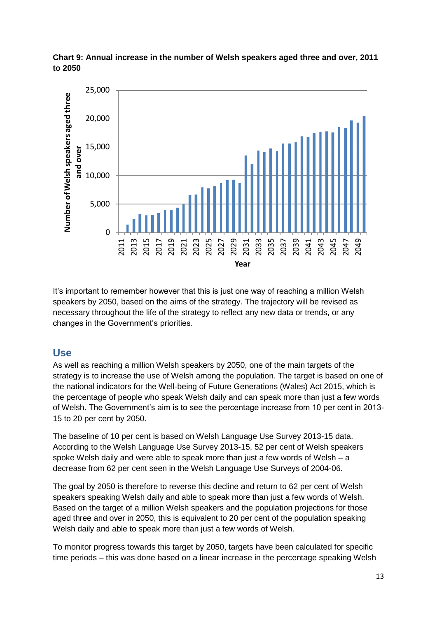

**Chart 9: Annual increase in the number of Welsh speakers aged three and over, 2011 to 2050**

It's important to remember however that this is just one way of reaching a million Welsh speakers by 2050, based on the aims of the strategy. The trajectory will be revised as necessary throughout the life of the strategy to reflect any new data or trends, or any changes in the Government's priorities.

## <span id="page-12-0"></span>**Use**

As well as reaching a million Welsh speakers by 2050, one of the main targets of the strategy is to increase the use of Welsh among the population. The target is based on one of the national indicators for the Well-being of Future Generations (Wales) Act 2015, which is the percentage of people who speak Welsh daily and can speak more than just a few words of Welsh. The Government's aim is to see the percentage increase from 10 per cent in 2013- 15 to 20 per cent by 2050.

The baseline of 10 per cent is based on Welsh Language Use Survey 2013-15 data. According to the Welsh Language Use Survey 2013-15, 52 per cent of Welsh speakers spoke Welsh daily and were able to speak more than just a few words of Welsh – a decrease from 62 per cent seen in the Welsh Language Use Surveys of 2004-06.

The goal by 2050 is therefore to reverse this decline and return to 62 per cent of Welsh speakers speaking Welsh daily and able to speak more than just a few words of Welsh. Based on the target of a million Welsh speakers and the population projections for those aged three and over in 2050, this is equivalent to 20 per cent of the population speaking Welsh daily and able to speak more than just a few words of Welsh.

To monitor progress towards this target by 2050, targets have been calculated for specific time periods – this was done based on a linear increase in the percentage speaking Welsh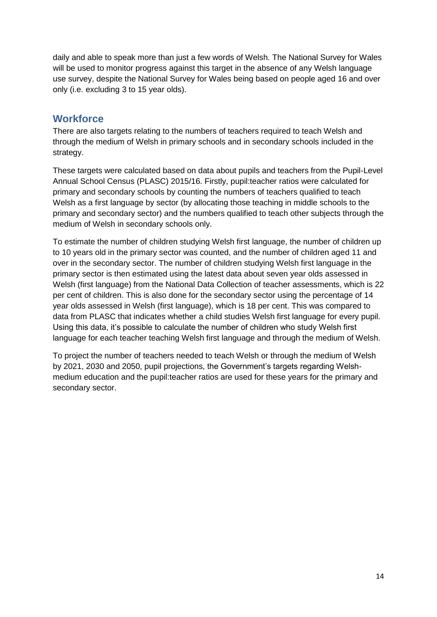daily and able to speak more than just a few words of Welsh. The National Survey for Wales will be used to monitor progress against this target in the absence of any Welsh language use survey, despite the National Survey for Wales being based on people aged 16 and over only (i.e. excluding 3 to 15 year olds).

## <span id="page-13-0"></span>**Workforce**

There are also targets relating to the numbers of teachers required to teach Welsh and through the medium of Welsh in primary schools and in secondary schools included in the strategy.

These targets were calculated based on data about pupils and teachers from the Pupil-Level Annual School Census (PLASC) 2015/16. Firstly, pupil:teacher ratios were calculated for primary and secondary schools by counting the numbers of teachers qualified to teach Welsh as a first language by sector (by allocating those teaching in middle schools to the primary and secondary sector) and the numbers qualified to teach other subjects through the medium of Welsh in secondary schools only.

To estimate the number of children studying Welsh first language, the number of children up to 10 years old in the primary sector was counted, and the number of children aged 11 and over in the secondary sector. The number of children studying Welsh first language in the primary sector is then estimated using the latest data about seven year olds assessed in Welsh (first language) from the National Data Collection of teacher assessments, which is 22 per cent of children. This is also done for the secondary sector using the percentage of 14 year olds assessed in Welsh (first language), which is 18 per cent. This was compared to data from PLASC that indicates whether a child studies Welsh first language for every pupil. Using this data, it's possible to calculate the number of children who study Welsh first language for each teacher teaching Welsh first language and through the medium of Welsh.

To project the number of teachers needed to teach Welsh or through the medium of Welsh by 2021, 2030 and 2050, pupil projections, the Government's targets regarding Welshmedium education and the pupil:teacher ratios are used for these years for the primary and secondary sector.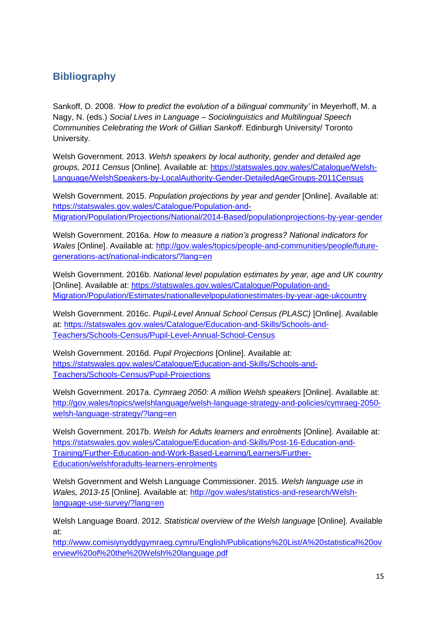# <span id="page-14-0"></span>**Bibliography**

Sankoff, D. 2008. *'How to predict the evolution of a bilingual community'* in Meyerhoff, M. a Nagy, N. (eds.) *Social Lives in Language – Sociolinguistics and Multilingual Speech Communities Celebrating the Work of Gillian Sankoff*. Edinburgh University/ Toronto University.

Welsh Government. 2013. *Welsh speakers by local authority, gender and detailed age groups, 2011 Census* [Online]. Available at: [https://statswales.gov.wales/Catalogue/Welsh-](https://statswales.gov.wales/Catalogue/Welsh-Language/WelshSpeakers-by-LocalAuthority-Gender-DetailedAgeGroups-2011Census)[Language/WelshSpeakers-by-LocalAuthority-Gender-DetailedAgeGroups-2011Census](https://statswales.gov.wales/Catalogue/Welsh-Language/WelshSpeakers-by-LocalAuthority-Gender-DetailedAgeGroups-2011Census)

Welsh Government. 2015. *Population projections by year and gender* [Online]. Available at: [https://statswales.gov.wales/Catalogue/Population-and-](https://statswales.gov.wales/Catalogue/Population-and-Migration/Population/Projections/National/2014-Based/populationprojections-by-year-gender)[Migration/Population/Projections/National/2014-Based/populationprojections-by-year-gender](https://statswales.gov.wales/Catalogue/Population-and-Migration/Population/Projections/National/2014-Based/populationprojections-by-year-gender)

Welsh Government. 2016a. *How to measure a nation's progress? National indicators for Wales* [Online]. Available at: [http://gov.wales/topics/people-and-communities/people/future](http://gov.wales/topics/people-and-communities/people/future-generations-act/national-indicators/?lang=en)[generations-act/national-indicators/?lang=en](http://gov.wales/topics/people-and-communities/people/future-generations-act/national-indicators/?lang=en)

Welsh Government. 2016b. *National level population estimates by year, age and UK country*  [Online]. Available at: [https://statswales.gov.wales/Catalogue/Population-and-](https://statswales.gov.wales/Catalogue/Population-and-Migration/Population/Estimates/nationallevelpopulationestimates-by-year-age-ukcountry)[Migration/Population/Estimates/nationallevelpopulationestimates-by-year-age-ukcountry](https://statswales.gov.wales/Catalogue/Population-and-Migration/Population/Estimates/nationallevelpopulationestimates-by-year-age-ukcountry)

Welsh Government. 2016c. *Pupil-Level Annual School Census (PLASC)* [Online]. Available at: [https://statswales.gov.wales/Catalogue/Education-and-Skills/Schools-and-](https://statswales.gov.wales/Catalogue/Education-and-Skills/Schools-and-Teachers/Schools-Census/Pupil-Level-Annual-School-Census)[Teachers/Schools-Census/Pupil-Level-Annual-School-Census](https://statswales.gov.wales/Catalogue/Education-and-Skills/Schools-and-Teachers/Schools-Census/Pupil-Level-Annual-School-Census)

Welsh Government. 2016d. *Pupil Projections* [Online]. Available at: [https://statswales.gov.wales/Catalogue/Education-and-Skills/Schools-and-](https://statswales.gov.wales/Catalogue/Education-and-Skills/Schools-and-Teachers/Schools-Census/Pupil-Projections)[Teachers/Schools-Census/Pupil-Projections](https://statswales.gov.wales/Catalogue/Education-and-Skills/Schools-and-Teachers/Schools-Census/Pupil-Projections)

Welsh Government. 2017a. *Cymraeg 2050: A million Welsh speakers* [Online]. Available at: [http://gov.wales/topics/welshlanguage/welsh-language-strategy-and-policies/cymraeg-2050](http://gov.wales/topics/welshlanguage/welsh-language-strategy-and-policies/cymraeg-2050-welsh-language-strategy/?lang=en) [welsh-language-strategy/?lang=en](http://gov.wales/topics/welshlanguage/welsh-language-strategy-and-policies/cymraeg-2050-welsh-language-strategy/?lang=en)

Welsh Government. 2017b. *Welsh for Adults learners and enrolments* [Online]. Available at: [https://statswales.gov.wales/Catalogue/Education-and-Skills/Post-16-Education-and-](https://statswales.gov.wales/Catalogue/Education-and-Skills/Post-16-Education-and-Training/Further-Education-and-Work-Based-Learning/Learners/Further-Education/welshforadults-learners-enrolments)[Training/Further-Education-and-Work-Based-Learning/Learners/Further-](https://statswales.gov.wales/Catalogue/Education-and-Skills/Post-16-Education-and-Training/Further-Education-and-Work-Based-Learning/Learners/Further-Education/welshforadults-learners-enrolments)[Education/welshforadults-learners-enrolments](https://statswales.gov.wales/Catalogue/Education-and-Skills/Post-16-Education-and-Training/Further-Education-and-Work-Based-Learning/Learners/Further-Education/welshforadults-learners-enrolments)

Welsh Government and Welsh Language Commissioner. 2015. *Welsh language use in Wales, 2013-15* [Online]. Available at: [http://gov.wales/statistics-and-research/Welsh](http://gov.wales/statistics-and-research/Welsh-language-use-survey/?lang=en)[language-use-survey/?lang=en](http://gov.wales/statistics-and-research/Welsh-language-use-survey/?lang=en)

Welsh Language Board. 2012. *Statistical overview of the Welsh language* [Online]. Available at:

[http://www.comisiynyddygymraeg.cymru/English/Publications%20List/A%20statistical%20ov](http://www.comisiynyddygymraeg.cymru/English/Publications%20List/A%20statistical%20overview%20of%20the%20Welsh%20language.pdf) [erview%20of%20the%20Welsh%20language.pdf](http://www.comisiynyddygymraeg.cymru/English/Publications%20List/A%20statistical%20overview%20of%20the%20Welsh%20language.pdf)